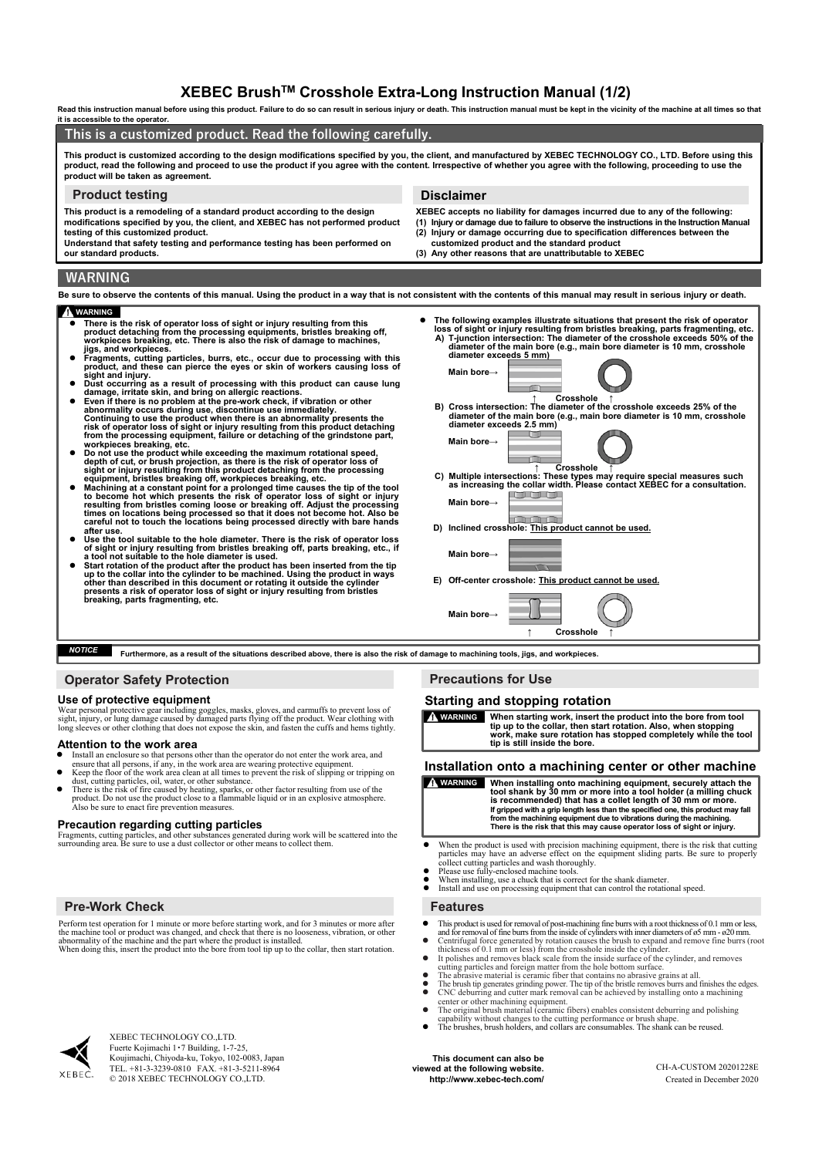# **XEBEC BrushTM Crosshole Extra-Long Instruction Manual (1/2)**

**Read this instruction manual before using this product. Failure to do so can result in serious injury or death. This instruction manual must be kept in the vicinity of the machine at all times so that it is accessible to the operator.**

### **WARNING Be sure to observe the contents of this manual. Using the product in a way that is not consistent with the contents of this manual may result in serious injury or death. This product is customized according to the design modifications specified by you, the client, and manufactured by XEBEC TECHNOLOGY CO., LTD. Before using this**  product, read the following and proceed to use the product if you agree with the content. Irrespective of whether you agree with the following, proceeding to use the **product will be taken as agreement. This is a customized product. Read the following carefully. Product testing Disclaimer This product is a remodeling of a standard product according to the design modifications specified by you, the client, and XEBEC has not performed product testing of this customized product. Understand that safety testing and performance testing has been performed on our standard products. XEBEC accepts no liability for damages incurred due to any of the following: (1) Injury or damage due to failure to observe the instructions in the Instruction Manual (2) Injury or damage occurring due to specification differences between the customized product and the standard product (3) Any other reasons that are unattributable to XEBEC**

### **WARNING**

- <ul>\n<li> There is the risk of operator loss of sight or injury resulting from this product detaching from the processing equipment, bristles breaking off, workingices breaking, etc. There is also the risk of damage to machines, jigs, and workpieces.</li>\n<li> Fragments, cutting particles, burns, etc., occur due to processing with this product, and these can pierce the eyes or skin of workers causing loss of sight and injury.</li>\n</ul>
- 
- 
- Dust occurring as a result of processing with this product can cause lung<br>damage, irritate skin, and bring on allergic reactions.<br>Even if there is no problem at the pre-work check, if vibration or other<br>abnormality occu
- 
- Do not use the product while exceeding the maximum rotational speed, depth of cut, or brush projection, as there is the risk of operator loss of sight or injury resulting from this product detaching from the processing
- 
- Use the tool suitable to the hole diameter. There is the risk of operator loss of sight or injury resulting from bristles breaking off, parts breaking, etc., if a tool not suitable to the node diameter is used.<br>
 Start
- **The following examples illustrate situations that present the risk of operator**  loss of sight or injury resulting from bristles breaking, parts fragmenting, etc.<br>A) T-junction intersection: The diameter of the crosshole exceeds 50% of the<br>diameter of the main bore (e.g., main bore diameter is 10 mm, c **diameter exceeds 5 mm) Main bore→ ↑ Crosshole ↑ B) Cross intersection: The diameter of the crosshole exceeds 25% of the diameter of the main bore (e.g., main bore diameter is 10 mm, crosshole diameter exceeds 2.5 mm) Main bore→ ↑ Crosshole ↑ C) Multiple intersections: These types may require special measures such as increasing the collar width. Please contact XEBEC for a consultation.** <u>Linguage de la propie</u> **Main bore→**
- **CONTRACTOR D) Inclined crosshole: This product cannot be used.**
- **Main bore→ E) Off-center crosshole: This product cannot be used. Main bore→**

**↑ Crosshole ↑**

**Furthermore, as a result of the situations described above, there is also the risk of damage to machining tools, jigs, and workpieces.** *NOTICE*

## **Operator Safety Protection**

### **Use of protective equipment**

Wear personal protective gear including goggles, masks, gloves, and earmuffs to prevent loss of<br>sight, injury, or lung damage caused by damaged parts flying off the product. Wear clothing with<br>long sleeves or other clothin

### **Attention to the work area**

- 
- Install an enclosure so that persons other than the operator do not enter the work area, and<br>
ensure that all persons, if any, in the work area are wearing protective equipment.<br>
Keep the floor of the work area clean at
- 
- dust, cutting particles, oil, water, or other substance.<br>
 There is the risk of fire caused by heating, sparks, or other factor resulting from use of the product. Do not use the product close to a flammable liquid or in a

### **Precaution regarding cutting particles**

Fragments, cutting particles, and other substances generated during work will be scattered into the surrounding area. Be sure to use a dust collector or other means to collect them.

## **Pre-Work Check Features**

Perform test operation for 1 minute or more before starting work, and for 3 minutes or more after the machine tool or product was changed, and check that there is no looseness, vibration, or other abnormality of the machine and the part where the product is installed. When doing this, insert the product into the bore from tool tip up to the collar, then start rotation.



XEBEC TECHNOLOGY CO.,LTD. Fuerte Kojimachi 1・7 Building, 1-7-25, Koujimachi, Chiyoda-ku, Tokyo, 102-0083, Japan TEL. +81-3-3239-0810 FAX. +81-3-5211-8964 © 2018 XEBEC TECHNOLOGY CO.,LTD.

## **Precautions for Use**

### **Starting and stopping rotation**



### **Installation onto a machining center or other machine**

WARNING When installing onto machining equipment, securely attach the tool shank by 30 mm or more into a tool holder (a milling chuck is recommended) that has a collet length of 30 mm or more.<br>If gripped with a grip length

- When the product is used with precision machining equipment, there is the risk that cutting particles may have an adverse effect on the equipment sliding parts. Be sure to properly<br>collect cutting particles and wash thoroughly.<br>
• Please use fully-enclosed machine tools.<br>
• When installing, use a chuck that is co
- 
- 

- 
- This product is used for removal of post-machining fine burrs with a root thickness of 0.1 mm or less,<br>
and for removal of fine burs from the inside of cylinders with inner dameters of  $\delta S$  mm a<br>
20 mm, Contrifugal f
- 
- 
- CNC deburring and cutter mark removal can be achieved by installing onto a machining center or other machining equipment.<br>
The original brush material (ceramic fibers) enables consistent deburring and polishing
- 
- 
- capability without changes to the cutting performance or brush shape. The brushes, brush holders, and collars are consumables. The shank can be reused.

**This document can also be viewed at the following website. http://www.xebec-tech.com/** Created in December 2020

CH-A-CUSTOM 20201228E